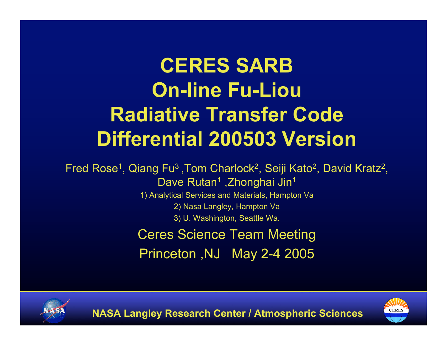# **CERES SARB On-line Fu-Liou Radiative Transfer Code Differential 200503 Version**

Fred Rose<sup>1</sup>, Qiang Fu<sup>3</sup>, Tom Charlock<sup>2</sup>, Seiji Kato<sup>2</sup>, David Kratz<sup>2</sup>, Dave Rutan<sup>1</sup>, Zhonghai Jin<sup>1</sup>

> 1) Analytical Services and Materials, Hampton Va 2) Nasa Langley, Hampton Va

> > 3) U. Washington, Seattle Wa.

Ceres Science Team Meeting Princeton ,NJ May 2-4 2005



**NASA Langley Research Center / Atmospheric Sciences**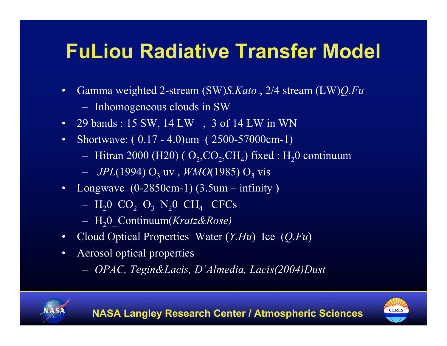## **FuLiou Radiative Transfer Model**

- Gamma weighted 2-stream (SW)*S.Kato* , 2/4 stream (LW)*Q.Fu*
	- Inhomogeneous clouds in SW
- 29 bands : 15 SW, 14 LW, 3 of 14 LW in WN
- Shortwave: (0.17 4.0) um (2500-57000 cm-1)
	- Hitran 2000 (H20) ( $O_2$ ,CO<sub>2</sub>,CH<sub>4</sub>) fixed : H<sub>2</sub>0 continuum
	- $-IPL(1994) O_3$  uv, *WMO*(1985)  $O_3$  vis
- Longwave  $(0-2850cm-1)$   $(3.5um infinity)$ 
	- $-$  H<sub>2</sub>O CO<sub>2</sub> O<sub>3</sub> N<sub>2</sub>O CH<sub>4</sub> CFCs
	- H20\_Continuum(*Kratz&Rose)*
- Cloud Optical Properties Water (*Y.Hu*) Ice (*Q.Fu*)
- Aerosol optical properties
	- *OPAC, Tegin&Lacis, D'Almedia, Lacis(2004)Dust*



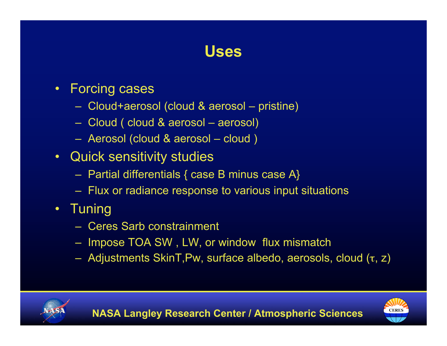#### **Uses**

- Forcing cases
	- Cloud+aerosol (cloud & aerosol pristine)
	- Cloud ( cloud & aerosol aerosol)
	- Aerosol (cloud & aerosol cloud )
- Quick sensitivity studies
	- Partial differentials { case B minus case A}
	- Flux or radiance response to various input situations
- Tuning
	- Ceres Sarb constrainment
	- Impose TOA SW , LW, or window flux mismatch
	- Adjustments SkinT,Pw, surface albedo, aerosols, cloud (τ, z)



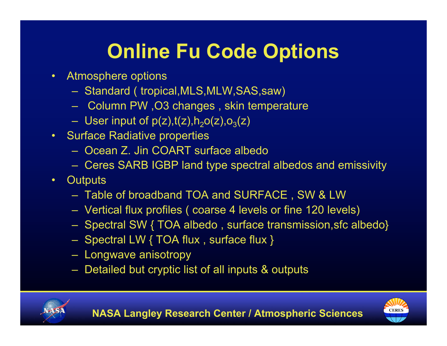# **Online Fu Code Options**

- Atmosphere options
	- Standard ( tropical,MLS,MLW,SAS,saw)
	- Column PW ,O3 changes , skin temperature
	- User input of  $p(z)$ ,  $t(z)$ ,  $h_2$ o(z),  $o_3(z)$
- Surface Radiative properties
	- Ocean Z. Jin COART surface albedo
	- Ceres SARB IGBP land type spectral albedos and emissivity
- Outputs
	- Table of broadband TOA and SURFACE , SW & LW
	- Vertical flux profiles ( coarse 4 levels or fine 120 levels)
	- Spectral SW { TOA albedo , surface transmission,sfc albedo}
	- Spectral LW { TOA flux , surface flux }
	- Longwave anisotropy
	- Detailed but cryptic list of all inputs & outputs



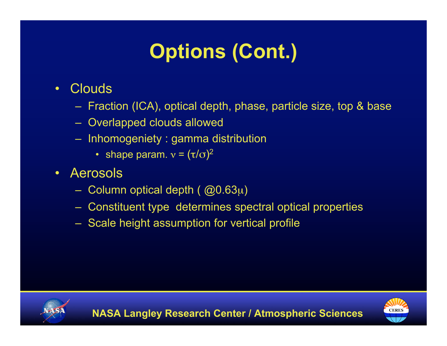# **Options (Cont.)**

- Clouds
	- Fraction (ICA), optical depth, phase, particle size, top & base
	- Overlapped clouds allowed
	- Inhomogeniety : gamma distribution
		- shape param.  $v = (\tau/\sigma)^2$
- Aerosols
	- Column optical depth ( @0.63µ)
	- Constituent type determines spectral optical properties
	- Scale height assumption for vertical profile



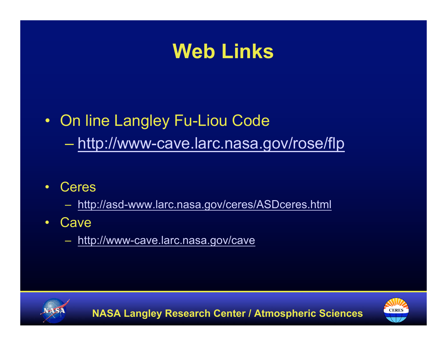### **Web Links**

#### • On line Langley Fu-Liou Code

– http://www-cave.larc.nasa.gov/rose/flp

• Ceres

– http://asd-www.larc.nasa.gov/ceres/ASDceres.html

- Cave
	- http://www-cave.larc.nasa.gov/cave



**NASA Langley Research Center / Atmospheric Sciences**

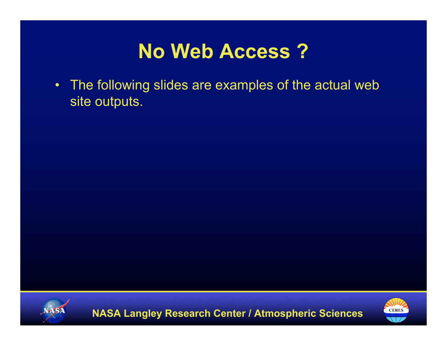## **No Web Access ?**

• The following slides are examples of the actual web site outputs.



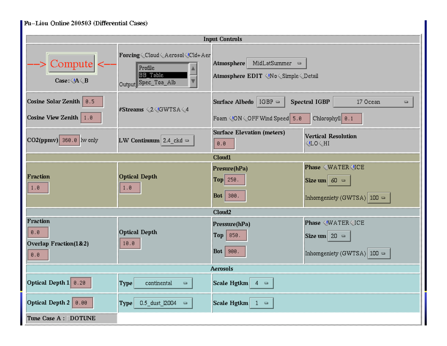| Fu-Liou Online 200503 (Differential Cases)          |                                                                                                                                                                              |                                                                                                                                     |                                                                                                                                  |  |  |  |  |  |  |  |  |  |
|-----------------------------------------------------|------------------------------------------------------------------------------------------------------------------------------------------------------------------------------|-------------------------------------------------------------------------------------------------------------------------------------|----------------------------------------------------------------------------------------------------------------------------------|--|--|--|--|--|--|--|--|--|
|                                                     |                                                                                                                                                                              | <b>Input Controls</b>                                                                                                               |                                                                                                                                  |  |  |  |  |  |  |  |  |  |
| Compute <br>Case: $\langle A \langle B$             | Forcing <cloud<aerosol<cld+aer<br>Profile<br/><b>BB</b> Table<br/>Output Spec_Toa_Alb</cloud<aerosol<cld+aer<br>                                                             | MidLatSummer $\Box$<br>Atmosphere<br>Atmosphere EDIT No <Simple <Detail</th                                                         |                                                                                                                                  |  |  |  |  |  |  |  |  |  |
| Cosine Solar Zenith   0.5<br>Cosine View Zenith 1.8 | #Streams <2 GWTSA<4</th <th>Surface Albedo   IGBP =<br/>Foam <!-- ON < OFF Wind Speed   5.8</th--><th><b>Spectral IGBP</b><br/>17 Ocean<br/>O.<br/>Chlorophyll 0.1</th></th> | Surface Albedo   IGBP =<br>Foam ON < OFF Wind Speed   5.8</th <th><b>Spectral IGBP</b><br/>17 Ocean<br/>O.<br/>Chlorophyll 0.1</th> | <b>Spectral IGBP</b><br>17 Ocean<br>O.<br>Chlorophyll 0.1                                                                        |  |  |  |  |  |  |  |  |  |
| $\vert$ CO2(ppmv) 360.0 $\vert$ lw only             | LW Continuum $2.4$ <sub>ckd</sub> =                                                                                                                                          | Surface Elevation (meters)<br>0.0                                                                                                   | Vertical Resolution<br>∣ LO<HI</th                                                                                               |  |  |  |  |  |  |  |  |  |
| Cloud1                                              |                                                                                                                                                                              |                                                                                                                                     |                                                                                                                                  |  |  |  |  |  |  |  |  |  |
| Fraction<br>1.0                                     | <b>Optical Depth</b><br>1.0                                                                                                                                                  | Presure(hPa)<br>$ Top $ 250.<br>$\vert$ <b>Bot</b> $\vert$ 300.                                                                     | Phase <water<ice<br>Size um 60 <math>\approx</math><br/>Inhomgeniety (GWTSA) <math> 100 =</math></water<ice<br>                  |  |  |  |  |  |  |  |  |  |
|                                                     |                                                                                                                                                                              | Cloud <sub>2</sub>                                                                                                                  |                                                                                                                                  |  |  |  |  |  |  |  |  |  |
| Fraction<br>0.0<br>Overlap Fraction(1&2)<br>0.8     | <b>Optical Depth</b><br>10.0                                                                                                                                                 | Pressure(hPa)<br>$Top \;   \; 850.$<br>Bot   900.                                                                                   | Phase <water<ice<br>Size um <math>\vert</math> 20 <math>\vert</math><br/>Inhomgeniety (GWTSA) <math> 100 =</math></water<ice<br> |  |  |  |  |  |  |  |  |  |
|                                                     |                                                                                                                                                                              | <b>Aerosols</b>                                                                                                                     |                                                                                                                                  |  |  |  |  |  |  |  |  |  |
| Optical Depth $1 \vert 0.20 \vert$                  | Type<br>continental<br>$\blacksquare$                                                                                                                                        | Scale Hgtkm<br>$4 =$                                                                                                                |                                                                                                                                  |  |  |  |  |  |  |  |  |  |
| Optical Depth 2   0.00                              | 0.5_dust_l2004<br>Type<br>$\hskip 10pt \rule{0pt}{2.5pt}$                                                                                                                    | Scale Hgtkm $\vert$ 1 =                                                                                                             |                                                                                                                                  |  |  |  |  |  |  |  |  |  |
| Tune Case A : [DOTUNE                               |                                                                                                                                                                              |                                                                                                                                     |                                                                                                                                  |  |  |  |  |  |  |  |  |  |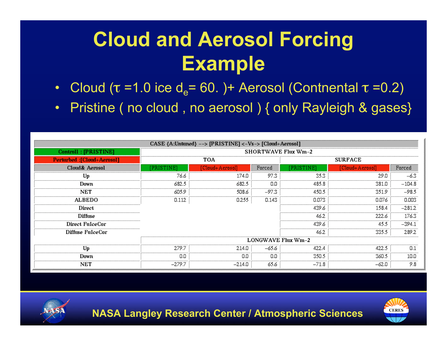# **Cloud and Aerosol Forcing Example**

- Cloud ( $\tau$  =1.0 ice d<sub>e</sub>= 60. )+ Aerosol (Contnental  $\tau$  =0.2)
- Pristine (no cloud, no aerosol) { only Rayleigh & gases}

|                                   |                            | CASE {A:Untuned} --> [PRISTINE] <-Vs-> [Cloud+Aerosol] |                |           |                 |          |  |  |  |  |  |  |  |
|-----------------------------------|----------------------------|--------------------------------------------------------|----------------|-----------|-----------------|----------|--|--|--|--|--|--|--|
| Controll: [PRISTINE]              | <b>SHORTWAVE Flux Wm-2</b> |                                                        |                |           |                 |          |  |  |  |  |  |  |  |
| <b>Perturbed: [Cloud+Aerosol]</b> |                            | TOA                                                    | <b>SURFACE</b> |           |                 |          |  |  |  |  |  |  |  |
| Cloud& Aerosol                    | [PRISTINE]                 | [Cloud+Aerosol]                                        | Forced         | PRISTINE] | [Cloud+Aerosol] | Forced   |  |  |  |  |  |  |  |
| Up                                | 76.6                       | 174.0                                                  | 97.3           | 35.3      | 29.0            | $-6.3$   |  |  |  |  |  |  |  |
| Down                              | 682.5                      | 682.5                                                  | 0.0            | 485.8     | 381.0           | $-104.8$ |  |  |  |  |  |  |  |
| <b>NET</b>                        | 605.9                      | 508.6                                                  | $-97.3$        | 450.5     | 351.9           | $-98.5$  |  |  |  |  |  |  |  |
| <b>ALBEDO</b>                     | 0.112                      | 0.255                                                  | 0.143          | 0.073     | 0.076           | 0.003    |  |  |  |  |  |  |  |
| Direct                            |                            |                                                        |                | 439.6     | 158.4           | $-281.2$ |  |  |  |  |  |  |  |
| Diffuse                           |                            |                                                        |                | 46.2      | 222.6           | 176.3    |  |  |  |  |  |  |  |
| Direct FuIceCor                   |                            |                                                        |                | 439.6     | 45.5            | $-394.1$ |  |  |  |  |  |  |  |
| Diffuse FuIceCor                  |                            |                                                        |                | 46.2      | 335.5           | 289.2    |  |  |  |  |  |  |  |
|                                   | <b>LONGWAVE Flux Wm-2</b>  |                                                        |                |           |                 |          |  |  |  |  |  |  |  |
| Up                                | 279.7                      | 214.0                                                  | $-65.6$        | 422.4     | 422.5           | 0.1      |  |  |  |  |  |  |  |
| Down                              | 0.0                        | 0.0                                                    | 0.0            | 350.5     | 360.5           | 10.0     |  |  |  |  |  |  |  |
| <b>NET</b>                        | $-279.7$                   | $-214.0$                                               | 65.6           | $-71.8$   | $-62.0$         | 9.8      |  |  |  |  |  |  |  |



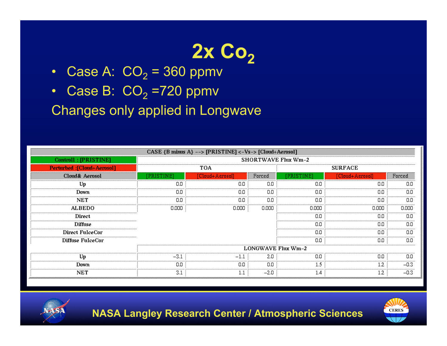# 2x Co<sub>2</sub>

- Case A:  $CO<sub>2</sub> = 360$  ppmv
- Case B:  $CO<sub>2</sub> = 720$  ppmv

Changes only applied in Longwave

|                                   | CASE {B minus A} --> [PRISTINE] <-Vs-> [Cloud+Aerosol] |                 |                |                            |                 |        |  |  |  |  |  |  |  |  |
|-----------------------------------|--------------------------------------------------------|-----------------|----------------|----------------------------|-----------------|--------|--|--|--|--|--|--|--|--|
| Controll: [PRISTINE]              |                                                        |                 |                | <b>SHORTWAVE Flux Wm-2</b> |                 |        |  |  |  |  |  |  |  |  |
| <b>Perturbed:</b> [Cloud+Aerosol] |                                                        | TOA             | <b>SURFACE</b> |                            |                 |        |  |  |  |  |  |  |  |  |
| Cloud& Aerosol                    | [PRISTINE]                                             | [Cloud+Aerosol] | Forced         | [PRISTINE]                 | [Cloud+Aerosol] | Forced |  |  |  |  |  |  |  |  |
| Up                                | 0.0                                                    | 0.0             | 0.0            | 0.0                        | 0.0             | 0.0    |  |  |  |  |  |  |  |  |
| Down                              | 0.0                                                    | 0.0             | 0.0            | 0.0                        | 0.0             | 0.0    |  |  |  |  |  |  |  |  |
| NET                               | 0.0                                                    | 0.0             | 0.0            | 0.0                        | 0.0             | 0.0    |  |  |  |  |  |  |  |  |
| <b>ALBEDO</b>                     | 0.000                                                  | 0.000           | 0.000          | 0.000                      | 0.000           | 0.000  |  |  |  |  |  |  |  |  |
| Direct                            |                                                        |                 |                | 0.0                        | 0.0             | 0.0    |  |  |  |  |  |  |  |  |
| <b>Diffuse</b>                    |                                                        |                 |                | 0.0                        | 0.0             | 0.0    |  |  |  |  |  |  |  |  |
| Direct FuIceCor                   |                                                        |                 |                | 0.0                        | 0.0             | 0.0    |  |  |  |  |  |  |  |  |
| Diffuse FuIceCor                  |                                                        |                 |                | 0.0                        | 0.0             | 0.0    |  |  |  |  |  |  |  |  |
|                                   |                                                        |                 |                | <b>LONGWAVE Flux Wm-2</b>  |                 |        |  |  |  |  |  |  |  |  |
| Up                                | $-3.1$                                                 | $-1.1$          | 2.0            | 0.0                        | 0.0             | 0.0    |  |  |  |  |  |  |  |  |
| Down                              | 0.0                                                    | 0.0             | 0.0            | 1.5                        | 1.2             | $-0.3$ |  |  |  |  |  |  |  |  |
| NET                               | 3.1                                                    | 1.1             | $-2.0$         | 1.4                        | $1.2\,$         | $-0.3$ |  |  |  |  |  |  |  |  |